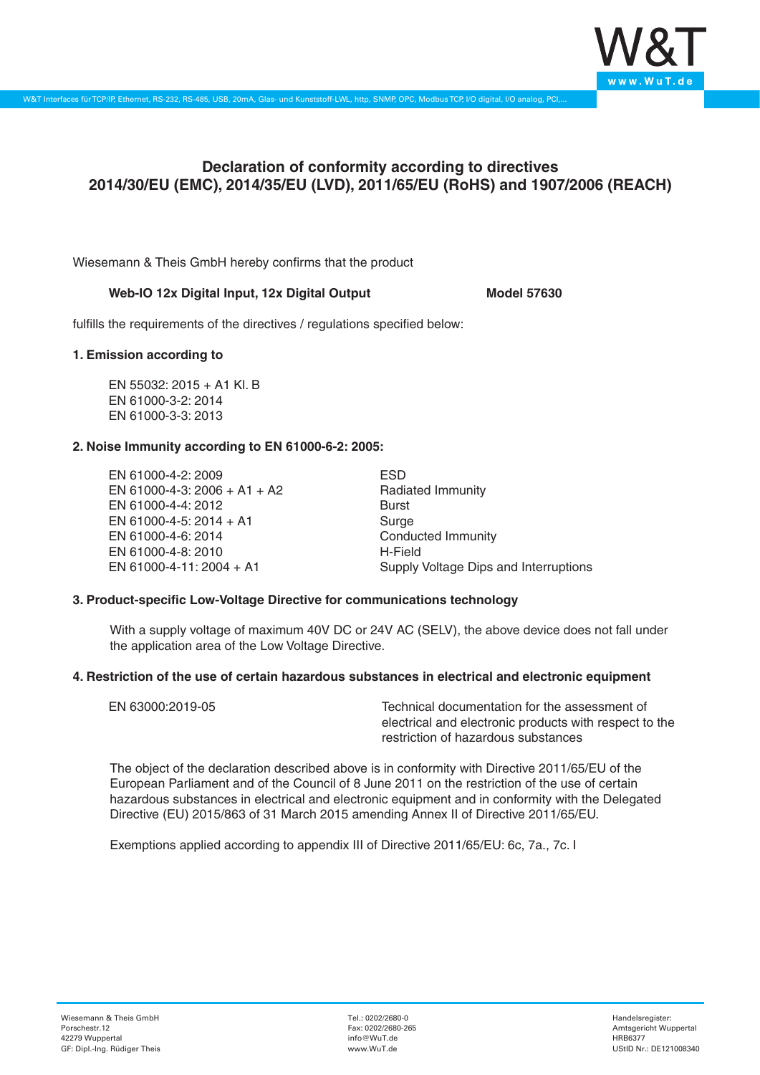

# **Declaration of conformity according to directives 2014/30/EU (EMC), 2014/35/EU (LVD), 2011/65/EU (RoHS) and 1907/2006 (REACH)**

Wiesemann & Theis GmbH hereby confirms that the product

## **Web-IO 12x Digital Input, 12x Digital Output Model 57630**

fulfills the requirements of the directives / regulations specified below:

#### **1. Emission according to**

EN 55032: 2015 + A1 Kl. B EN 61000-3-2: 2014 EN 61000-3-3: 2013

## **2. Noise Immunity according to EN 61000-6-2: 2005:**

EN 61000-4-2: 2009 EN 61000-4-3: 2006 + A1 + A2 EN 61000-4-4: 2012 EN 61000-4-5: 2014 + A1 EN 61000-4-6: 2014 EN 61000-4-8: 2010 EN 61000-4-11: 2004 + A1

ESD Radiated Immunity Burst Surge Conducted Immunity H-Field Supply Voltage Dips and Interruptions

## **3. Product-specific Low-Voltage Directive for communications technology**

With a supply voltage of maximum 40V DC or 24V AC (SELV), the above device does not fall under the application area of the Low Voltage Directive.

#### **4. Restriction of the use of certain hazardous substances in electrical and electronic equipment**

| EN 63000:2019-05 | Technical documentation for the assessment of          |
|------------------|--------------------------------------------------------|
|                  | electrical and electronic products with respect to the |
|                  | restriction of hazardous substances                    |

The object of the declaration described above is in conformity with Directive 2011/65/EU of the European Parliament and of the Council of 8 June 2011 on the restriction of the use of certain hazardous substances in electrical and electronic equipment and in conformity with the Delegated Directive (EU) 2015/863 of 31 March 2015 amending Annex II of Directive 2011/65/EU.

Exemptions applied according to appendix III of Directive 2011/65/EU: 6c, 7a., 7c. I